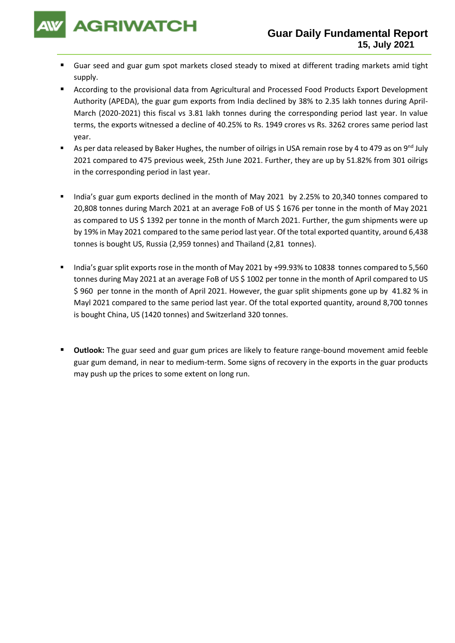

- Guar seed and guar gum spot markets closed steady to mixed at different trading markets amid tight supply.
- According to the provisional data from Agricultural and Processed Food Products Export Development Authority (APEDA), the guar gum exports from India declined by 38% to 2.35 lakh tonnes during April-March (2020-2021) this fiscal vs 3.81 lakh tonnes during the corresponding period last year. In value terms, the exports witnessed a decline of 40.25% to Rs. 1949 crores vs Rs. 3262 crores same period last year.
- As per data released by Baker Hughes, the number of oilrigs in USA remain rose by 4 to 479 as on 9<sup>nd</sup> July 2021 compared to 475 previous week, 25th June 2021. Further, they are up by 51.82% from 301 oilrigs in the corresponding period in last year.
- India's guar gum exports declined in the month of May 2021 by 2.25% to 20,340 tonnes compared to 20,808 tonnes during March 2021 at an average FoB of US \$ 1676 per tonne in the month of May 2021 as compared to US \$ 1392 per tonne in the month of March 2021. Further, the gum shipments were up by 19% in May 2021 compared to the same period last year. Of the total exported quantity, around 6,438 tonnes is bought US, Russia (2,959 tonnes) and Thailand (2,81 tonnes).
- India's guar split exports rose in the month of May 2021 by +99.93% to 10838 tonnes compared to 5,560 tonnes during May 2021 at an average FoB of US \$ 1002 per tonne in the month of April compared to US \$ 960 per tonne in the month of April 2021. However, the guar split shipments gone up by 41.82 % in Mayl 2021 compared to the same period last year. Of the total exported quantity, around 8,700 tonnes is bought China, US (1420 tonnes) and Switzerland 320 tonnes.
- **Outlook:** The guar seed and guar gum prices are likely to feature range-bound movement amid feeble guar gum demand, in near to medium-term. Some signs of recovery in the exports in the guar products may push up the prices to some extent on long run.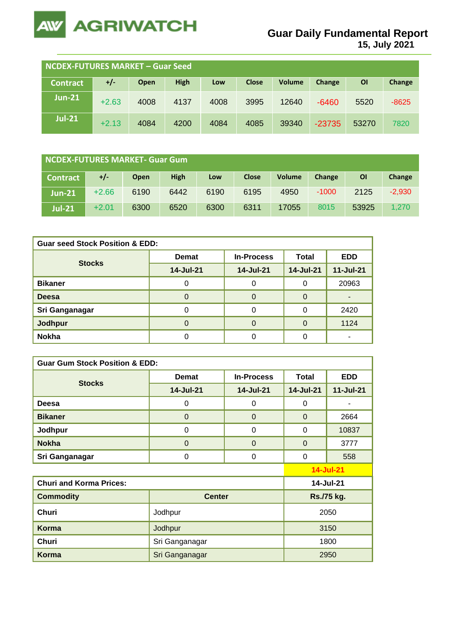

**15, July 2021**

| NCDEX-FUTURES MARKET - Guar Seed |         |      |             |      |              |               |          |       |         |
|----------------------------------|---------|------|-------------|------|--------------|---------------|----------|-------|---------|
| <b>Contract</b>                  | $+/-$   | Open | <b>High</b> | Low  | <b>Close</b> | <b>Volume</b> | Change   | ΟI    | Change  |
| $Jun-21$                         | $+2.63$ | 4008 | 4137        | 4008 | 3995         | 12640         | $-6460$  | 5520  | $-8625$ |
| <b>Jul-21</b>                    | $+2.13$ | 4084 | 4200        | 4084 | 4085         | 39340         | $-23735$ | 53270 | 7820    |

| NCDEX-FUTURES MARKET- Guar Gum |         |             |             |      |              |               |               |       |          |
|--------------------------------|---------|-------------|-------------|------|--------------|---------------|---------------|-------|----------|
| <b>Contract</b>                | $+/-$   | <b>Open</b> | <b>High</b> | Low  | <b>Close</b> | <b>Volume</b> | <b>Change</b> | ΟI    | Change   |
| $Jun-21$                       | $+2.66$ | 6190        | 6442        | 6190 | 6195         | 4950          | $-1000$       | 2125  | $-2,930$ |
| <b>Jul-21</b>                  | $+2.01$ | 6300        | 6520        | 6300 | 6311         | 17055         | 8015          | 53925 | 1.270    |

| <b>Guar seed Stock Position &amp; EDD:</b> |              |                   |              |            |  |  |  |  |
|--------------------------------------------|--------------|-------------------|--------------|------------|--|--|--|--|
| <b>Stocks</b>                              | <b>Demat</b> | <b>In-Process</b> | <b>Total</b> | <b>EDD</b> |  |  |  |  |
|                                            | 14-Jul-21    | 14-Jul-21         | 14-Jul-21    | 11-Jul-21  |  |  |  |  |
| <b>Bikaner</b>                             |              | C                 |              | 20963      |  |  |  |  |
| <b>Deesa</b>                               |              |                   |              |            |  |  |  |  |
| Sri Ganganagar                             |              |                   |              | 2420       |  |  |  |  |
| Jodhpur                                    |              |                   |              | 1124       |  |  |  |  |
| <b>Nokha</b>                               |              |                   |              |            |  |  |  |  |

| <b>Guar Gum Stock Position &amp; EDD:</b> |                |                   |              |                  |  |  |  |
|-------------------------------------------|----------------|-------------------|--------------|------------------|--|--|--|
|                                           | <b>Demat</b>   | <b>In-Process</b> | <b>Total</b> | <b>EDD</b>       |  |  |  |
| <b>Stocks</b>                             | 14-Jul-21      | 14-Jul-21         | 14-Jul-21    | 11-Jul-21        |  |  |  |
| Deesa                                     | 0              | $\Omega$          | $\Omega$     |                  |  |  |  |
| <b>Bikaner</b>                            | $\Omega$       | $\mathbf 0$       | $\Omega$     | 2664             |  |  |  |
| Jodhpur                                   | $\Omega$       | $\Omega$          | $\Omega$     | 10837            |  |  |  |
| <b>Nokha</b>                              | $\Omega$       | $\mathbf 0$       | $\Omega$     | 3777             |  |  |  |
| Sri Ganganagar                            | 0              | 0                 | 0            | 558              |  |  |  |
|                                           |                |                   |              | <b>14-Jul-21</b> |  |  |  |
| <b>Churi and Korma Prices:</b>            |                | 14-Jul-21         |              |                  |  |  |  |
| <b>Commodity</b>                          | <b>Center</b>  |                   | Rs./75 kg.   |                  |  |  |  |
| <b>Churi</b>                              | Jodhpur        | 2050              |              |                  |  |  |  |
| Korma                                     | Jodhpur        | 3150              |              |                  |  |  |  |
| Churi                                     | Sri Ganganagar | 1800              |              |                  |  |  |  |
| <b>Korma</b>                              | Sri Ganganagar |                   |              | 2950             |  |  |  |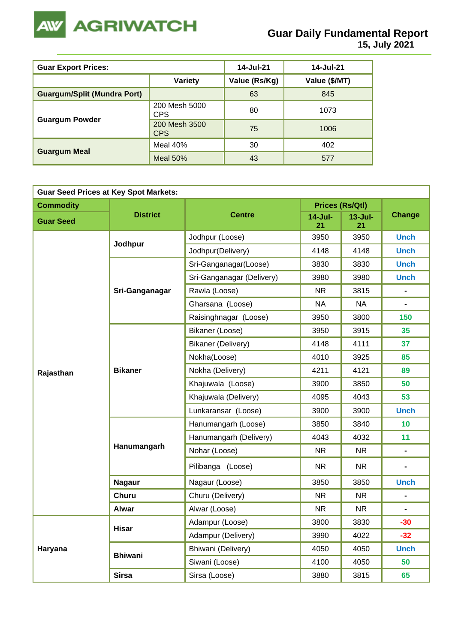

| <b>Guar Export Prices:</b>         | 14-Jul-21                   | 14-Jul-21     |               |
|------------------------------------|-----------------------------|---------------|---------------|
|                                    | <b>Variety</b>              | Value (Rs/Kg) | Value (\$/MT) |
| <b>Guargum/Split (Mundra Port)</b> |                             | 63            | 845           |
|                                    | 200 Mesh 5000<br>CPS        | 80            | 1073          |
| <b>Guargum Powder</b>              | 200 Mesh 3500<br><b>CPS</b> | 75            | 1006          |
|                                    | Meal 40%                    | 30            | 402           |
| <b>Guargum Meal</b>                | Meal $50\%$                 | 43            | 577           |

| <b>Guar Seed Prices at Key Spot Markets:</b> |                 |                                                                                                                                                                                              |                  |                        |                |    |  |  |
|----------------------------------------------|-----------------|----------------------------------------------------------------------------------------------------------------------------------------------------------------------------------------------|------------------|------------------------|----------------|----|--|--|
| <b>Commodity</b>                             |                 |                                                                                                                                                                                              |                  | <b>Prices (Rs/Qtl)</b> |                |    |  |  |
| <b>Guar Seed</b>                             | <b>District</b> | <b>Centre</b>                                                                                                                                                                                | $14$ -Jul-<br>21 | $13 -$ Jul-<br>21      | <b>Change</b>  |    |  |  |
|                                              |                 | Jodhpur (Loose)                                                                                                                                                                              | 3950             | 3950                   | <b>Unch</b>    |    |  |  |
|                                              | Jodhpur         | Jodhpur(Delivery)                                                                                                                                                                            | 4148             | 4148                   | <b>Unch</b>    |    |  |  |
|                                              |                 | Sri-Ganganagar(Loose)                                                                                                                                                                        | 3830             | 3830                   | <b>Unch</b>    |    |  |  |
|                                              |                 | Sri-Ganganagar (Delivery)                                                                                                                                                                    | 3980             | 3980                   | <b>Unch</b>    |    |  |  |
|                                              | Sri-Ganganagar  | Rawla (Loose)                                                                                                                                                                                | <b>NR</b>        | 3815                   |                |    |  |  |
|                                              |                 | Gharsana (Loose)                                                                                                                                                                             | <b>NA</b>        | <b>NA</b>              | $\blacksquare$ |    |  |  |
|                                              |                 | Raisinghnagar (Loose)                                                                                                                                                                        | 3950             | 3800                   | 150            |    |  |  |
|                                              |                 | Bikaner (Loose)                                                                                                                                                                              | 3950             | 3915                   | 35             |    |  |  |
|                                              |                 | Bikaner (Delivery)<br>Nokha(Loose)<br>Nokha (Delivery)<br>Khajuwala (Loose)<br>Khajuwala (Delivery)<br>Lunkaransar (Loose)<br>Hanumangarh (Loose)<br>Hanumangarh (Delivery)<br>Nohar (Loose) | 4148             | 4111                   | 37             |    |  |  |
| Rajasthan                                    |                 |                                                                                                                                                                                              |                  | 4010                   | 3925           | 85 |  |  |
|                                              | <b>Bikaner</b>  |                                                                                                                                                                                              | 4211             | 4121                   | 89             |    |  |  |
|                                              |                 |                                                                                                                                                                                              | 3900             | 3850<br>50             |                |    |  |  |
|                                              |                 |                                                                                                                                                                                              | 4095             | 4043                   | 53             |    |  |  |
|                                              |                 |                                                                                                                                                                                              | 3900             | 3900                   | <b>Unch</b>    |    |  |  |
|                                              |                 |                                                                                                                                                                                              | 3850             | 3840                   | 10             |    |  |  |
|                                              |                 |                                                                                                                                                                                              | 4043             | 4032                   | 11             |    |  |  |
|                                              | Hanumangarh     |                                                                                                                                                                                              | <b>NR</b>        | <b>NR</b>              | $\blacksquare$ |    |  |  |
|                                              |                 | Pilibanga (Loose)                                                                                                                                                                            | NR.              | NR.                    |                |    |  |  |
|                                              | <b>Nagaur</b>   | Nagaur (Loose)                                                                                                                                                                               | 3850             | 3850                   | <b>Unch</b>    |    |  |  |
|                                              | <b>Churu</b>    | Churu (Delivery)                                                                                                                                                                             | <b>NR</b>        | NR.                    | $\blacksquare$ |    |  |  |
|                                              | <b>Alwar</b>    | Alwar (Loose)                                                                                                                                                                                | <b>NR</b>        | <b>NR</b>              |                |    |  |  |
|                                              | <b>Hisar</b>    | Adampur (Loose)                                                                                                                                                                              | 3800             | 3830                   | $-30$          |    |  |  |
|                                              |                 | Adampur (Delivery)                                                                                                                                                                           | 3990             | 4022                   | $-32$          |    |  |  |
| Haryana                                      | <b>Bhiwani</b>  | Bhiwani (Delivery)                                                                                                                                                                           | 4050             | 4050                   | <b>Unch</b>    |    |  |  |
|                                              |                 | Siwani (Loose)                                                                                                                                                                               | 4100             | 4050                   | 50             |    |  |  |
|                                              | <b>Sirsa</b>    | Sirsa (Loose)                                                                                                                                                                                | 3880             | 3815                   | 65             |    |  |  |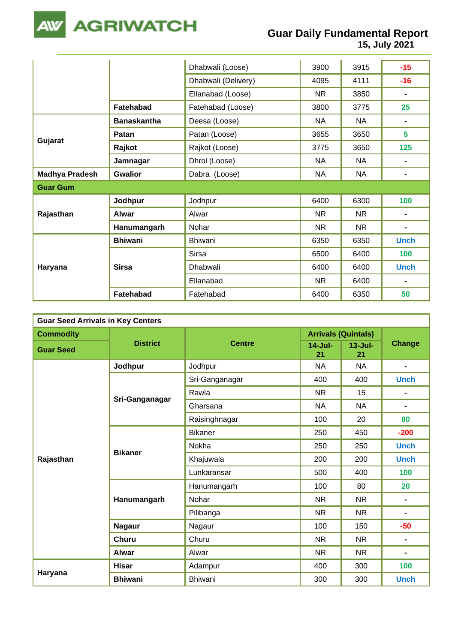

## **Guar Daily Fundamental Report**

**15, July 2021**

|                       |                    | Dhabwali (Loose)    | 3900      | 3915      | $-15$          |
|-----------------------|--------------------|---------------------|-----------|-----------|----------------|
|                       |                    | Dhabwali (Delivery) | 4095      | 4111      | $-16$          |
|                       |                    | Ellanabad (Loose)   | <b>NR</b> | 3850      | $\blacksquare$ |
|                       | Fatehabad          | Fatehabad (Loose)   | 3800      | 3775      | 25             |
|                       | <b>Banaskantha</b> | Deesa (Loose)       | <b>NA</b> | <b>NA</b> | $\blacksquare$ |
|                       | Patan              | Patan (Loose)       | 3655      | 3650      | 5              |
| Gujarat               | Rajkot             | Rajkot (Loose)      | 3775      | 3650      | 125            |
|                       | Jamnagar           | Dhrol (Loose)       | <b>NA</b> | <b>NA</b> | $\blacksquare$ |
| <b>Madhya Pradesh</b> | <b>Gwalior</b>     | Dabra (Loose)       | <b>NA</b> | <b>NA</b> | $\blacksquare$ |
| <b>Guar Gum</b>       |                    |                     |           |           |                |
|                       | Jodhpur            | Jodhpur             | 6400      | 6300      | 100            |
| Rajasthan             | Alwar              | Alwar               | <b>NR</b> | <b>NR</b> | $\blacksquare$ |
|                       | Hanumangarh        | Nohar               | <b>NR</b> | NR        | $\blacksquare$ |
|                       | <b>Bhiwani</b>     | <b>Bhiwani</b>      | 6350      | 6350      | <b>Unch</b>    |
|                       |                    | <b>Sirsa</b>        | 6500      | 6400      | 100            |
| Haryana               | <b>Sirsa</b>       | Dhabwali            | 6400      | 6400      | <b>Unch</b>    |
|                       |                    | Ellanabad           | <b>NR</b> | 6400      | $\blacksquare$ |
|                       | Fatehabad          | Fatehabad           | 6400      | 6350      | 50             |

| <b>Guar Seed Arrivals in Key Centers</b> |                 |                |                            |                   |                                                                                                    |  |  |  |  |
|------------------------------------------|-----------------|----------------|----------------------------|-------------------|----------------------------------------------------------------------------------------------------|--|--|--|--|
| <b>Commodity</b>                         |                 |                | <b>Arrivals (Quintals)</b> |                   |                                                                                                    |  |  |  |  |
| <b>Guar Seed</b>                         | <b>District</b> | <b>Centre</b>  | $14$ -Jul-<br>21           | $13 -$ Jul-<br>21 |                                                                                                    |  |  |  |  |
|                                          | Jodhpur         | Jodhpur        | <b>NA</b>                  | <b>NA</b>         | $\blacksquare$                                                                                     |  |  |  |  |
|                                          |                 | Sri-Ganganagar | 400                        | 400               | <b>Unch</b>                                                                                        |  |  |  |  |
|                                          |                 | Rawla          | <b>NR</b>                  | 15                | $\blacksquare$                                                                                     |  |  |  |  |
|                                          | Sri-Ganganagar  | Gharsana       | <b>NA</b>                  | <b>NA</b>         | $\blacksquare$                                                                                     |  |  |  |  |
|                                          |                 | Raisinghnagar  | 100                        | 20                | 80                                                                                                 |  |  |  |  |
|                                          | <b>Bikaner</b>  | <b>Bikaner</b> | 250                        | 450               | $-200$                                                                                             |  |  |  |  |
|                                          |                 | Nokha          | 250                        | 250               | <b>Unch</b>                                                                                        |  |  |  |  |
| Rajasthan                                |                 | Khajuwala      | 200                        | 200               | <b>Unch</b>                                                                                        |  |  |  |  |
|                                          |                 | Lunkaransar    | 500                        | 400               | 100                                                                                                |  |  |  |  |
|                                          |                 | Hanumangarh    | 100                        | 80                | 20                                                                                                 |  |  |  |  |
|                                          | Hanumangarh     | Nohar          | <b>NR</b>                  | <b>NR</b>         | $\blacksquare$                                                                                     |  |  |  |  |
|                                          |                 | Pilibanga      | <b>NR</b>                  | <b>NR</b>         | <b>Change</b><br>$\blacksquare$<br>$-50$<br>$\blacksquare$<br>$\blacksquare$<br>100<br><b>Unch</b> |  |  |  |  |
|                                          | <b>Nagaur</b>   | Nagaur         | 100                        | 150               |                                                                                                    |  |  |  |  |
|                                          | <b>Churu</b>    | Churu          | <b>NR</b>                  | <b>NR</b>         |                                                                                                    |  |  |  |  |
|                                          | <b>Alwar</b>    | Alwar          | <b>NR</b>                  | <b>NR</b>         |                                                                                                    |  |  |  |  |
|                                          | <b>Hisar</b>    | Adampur        | 400                        | 300               |                                                                                                    |  |  |  |  |
| Haryana                                  | <b>Bhiwani</b>  | <b>Bhiwani</b> | 300                        | 300               |                                                                                                    |  |  |  |  |